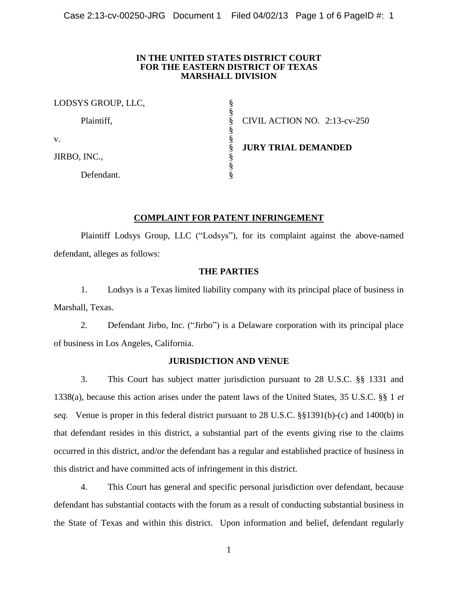### **IN THE UNITED STATES DISTRICT COURT FOR THE EASTERN DISTRICT OF TEXAS MARSHALL DIVISION**

| LODSYS GROUP, LLC, |                                 |
|--------------------|---------------------------------|
| Plaintiff,         | CIVIL ACTION NO. $2:13$ -cv-250 |
| v.                 |                                 |
| JIRBO, INC.,       | <b>JURY TRIAL DEMANDED</b>      |
| Defendant.         |                                 |

# **COMPLAINT FOR PATENT INFRINGEMENT**

Plaintiff Lodsys Group, LLC ("Lodsys"), for its complaint against the above-named defendant, alleges as follows:

## **THE PARTIES**

1. Lodsys is a Texas limited liability company with its principal place of business in Marshall, Texas.

2. Defendant Jirbo, Inc. ("Jirbo") is a Delaware corporation with its principal place of business in Los Angeles, California.

## **JURISDICTION AND VENUE**

3. This Court has subject matter jurisdiction pursuant to 28 U.S.C. §§ 1331 and 1338(a), because this action arises under the patent laws of the United States, 35 U.S.C. §§ 1 *et seq.* Venue is proper in this federal district pursuant to 28 U.S.C. §§1391(b)-(c) and 1400(b) in that defendant resides in this district, a substantial part of the events giving rise to the claims occurred in this district, and/or the defendant has a regular and established practice of business in this district and have committed acts of infringement in this district.

4. This Court has general and specific personal jurisdiction over defendant, because defendant has substantial contacts with the forum as a result of conducting substantial business in the State of Texas and within this district. Upon information and belief, defendant regularly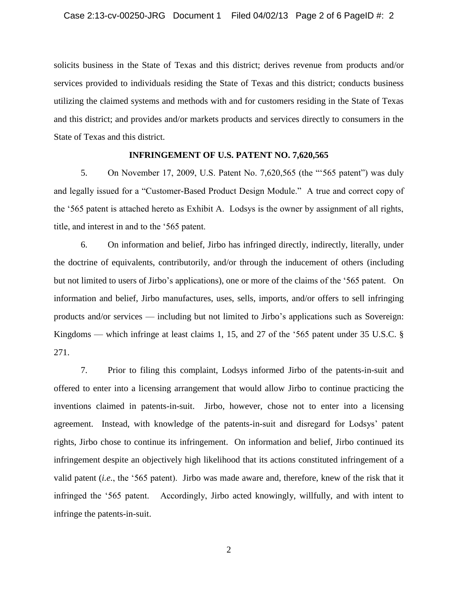solicits business in the State of Texas and this district; derives revenue from products and/or services provided to individuals residing the State of Texas and this district; conducts business utilizing the claimed systems and methods with and for customers residing in the State of Texas and this district; and provides and/or markets products and services directly to consumers in the State of Texas and this district.

### **INFRINGEMENT OF U.S. PATENT NO. 7,620,565**

5. On November 17, 2009, U.S. Patent No. 7,620,565 (the "'565 patent") was duly and legally issued for a "Customer-Based Product Design Module." A true and correct copy of the '565 patent is attached hereto as Exhibit A. Lodsys is the owner by assignment of all rights, title, and interest in and to the '565 patent.

6. On information and belief, Jirbo has infringed directly, indirectly, literally, under the doctrine of equivalents, contributorily, and/or through the inducement of others (including but not limited to users of Jirbo's applications), one or more of the claims of the '565 patent. On information and belief, Jirbo manufactures, uses, sells, imports, and/or offers to sell infringing products and/or services — including but not limited to Jirbo's applications such as Sovereign: Kingdoms — which infringe at least claims 1, 15, and 27 of the '565 patent under 35 U.S.C. § 271.

7. Prior to filing this complaint, Lodsys informed Jirbo of the patents-in-suit and offered to enter into a licensing arrangement that would allow Jirbo to continue practicing the inventions claimed in patents-in-suit. Jirbo, however, chose not to enter into a licensing agreement. Instead, with knowledge of the patents-in-suit and disregard for Lodsys' patent rights, Jirbo chose to continue its infringement. On information and belief, Jirbo continued its infringement despite an objectively high likelihood that its actions constituted infringement of a valid patent (*i.e.*, the '565 patent). Jirbo was made aware and, therefore, knew of the risk that it infringed the '565 patent. Accordingly, Jirbo acted knowingly, willfully, and with intent to infringe the patents-in-suit.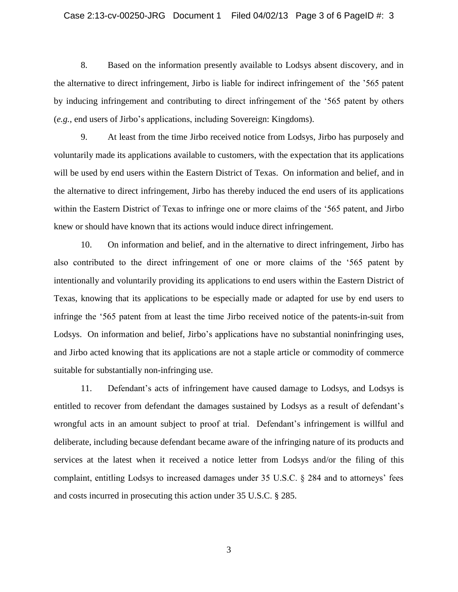8. Based on the information presently available to Lodsys absent discovery, and in the alternative to direct infringement, Jirbo is liable for indirect infringement of the '565 patent by inducing infringement and contributing to direct infringement of the '565 patent by others (*e.g.*, end users of Jirbo's applications, including Sovereign: Kingdoms).

9. At least from the time Jirbo received notice from Lodsys, Jirbo has purposely and voluntarily made its applications available to customers, with the expectation that its applications will be used by end users within the Eastern District of Texas. On information and belief, and in the alternative to direct infringement, Jirbo has thereby induced the end users of its applications within the Eastern District of Texas to infringe one or more claims of the '565 patent, and Jirbo knew or should have known that its actions would induce direct infringement.

10. On information and belief, and in the alternative to direct infringement, Jirbo has also contributed to the direct infringement of one or more claims of the '565 patent by intentionally and voluntarily providing its applications to end users within the Eastern District of Texas, knowing that its applications to be especially made or adapted for use by end users to infringe the '565 patent from at least the time Jirbo received notice of the patents-in-suit from Lodsys. On information and belief, Jirbo's applications have no substantial noninfringing uses, and Jirbo acted knowing that its applications are not a staple article or commodity of commerce suitable for substantially non-infringing use.

11. Defendant's acts of infringement have caused damage to Lodsys, and Lodsys is entitled to recover from defendant the damages sustained by Lodsys as a result of defendant's wrongful acts in an amount subject to proof at trial. Defendant's infringement is willful and deliberate, including because defendant became aware of the infringing nature of its products and services at the latest when it received a notice letter from Lodsys and/or the filing of this complaint, entitling Lodsys to increased damages under 35 U.S.C. § 284 and to attorneys' fees and costs incurred in prosecuting this action under 35 U.S.C. § 285.

3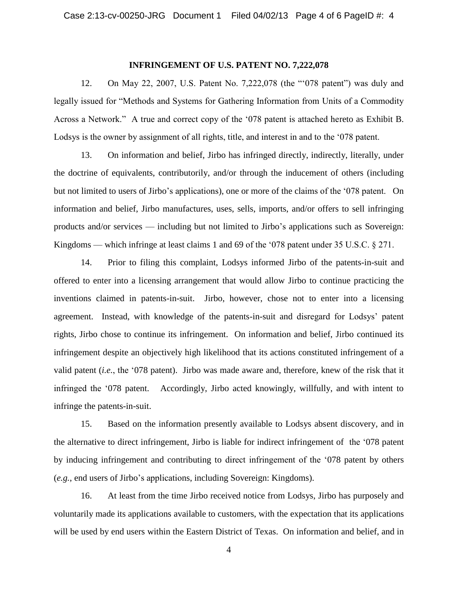#### **INFRINGEMENT OF U.S. PATENT NO. 7,222,078**

12. On May 22, 2007, U.S. Patent No. 7,222,078 (the "'078 patent") was duly and legally issued for "Methods and Systems for Gathering Information from Units of a Commodity Across a Network." A true and correct copy of the '078 patent is attached hereto as Exhibit B. Lodsys is the owner by assignment of all rights, title, and interest in and to the '078 patent.

13. On information and belief, Jirbo has infringed directly, indirectly, literally, under the doctrine of equivalents, contributorily, and/or through the inducement of others (including but not limited to users of Jirbo's applications), one or more of the claims of the '078 patent. On information and belief, Jirbo manufactures, uses, sells, imports, and/or offers to sell infringing products and/or services — including but not limited to Jirbo's applications such as Sovereign: Kingdoms — which infringe at least claims 1 and 69 of the '078 patent under 35 U.S.C. § 271.

14. Prior to filing this complaint, Lodsys informed Jirbo of the patents-in-suit and offered to enter into a licensing arrangement that would allow Jirbo to continue practicing the inventions claimed in patents-in-suit. Jirbo, however, chose not to enter into a licensing agreement. Instead, with knowledge of the patents-in-suit and disregard for Lodsys' patent rights, Jirbo chose to continue its infringement. On information and belief, Jirbo continued its infringement despite an objectively high likelihood that its actions constituted infringement of a valid patent (*i.e.*, the '078 patent). Jirbo was made aware and, therefore, knew of the risk that it infringed the '078 patent. Accordingly, Jirbo acted knowingly, willfully, and with intent to infringe the patents-in-suit.

15. Based on the information presently available to Lodsys absent discovery, and in the alternative to direct infringement, Jirbo is liable for indirect infringement of the '078 patent by inducing infringement and contributing to direct infringement of the '078 patent by others (*e.g.*, end users of Jirbo's applications, including Sovereign: Kingdoms).

16. At least from the time Jirbo received notice from Lodsys, Jirbo has purposely and voluntarily made its applications available to customers, with the expectation that its applications will be used by end users within the Eastern District of Texas. On information and belief, and in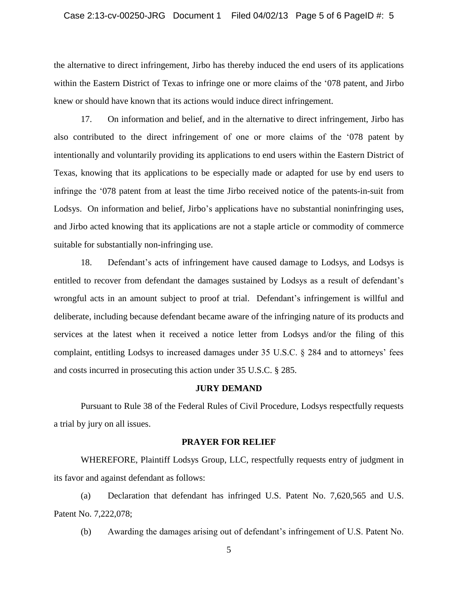the alternative to direct infringement, Jirbo has thereby induced the end users of its applications within the Eastern District of Texas to infringe one or more claims of the '078 patent, and Jirbo knew or should have known that its actions would induce direct infringement.

17. On information and belief, and in the alternative to direct infringement, Jirbo has also contributed to the direct infringement of one or more claims of the '078 patent by intentionally and voluntarily providing its applications to end users within the Eastern District of Texas, knowing that its applications to be especially made or adapted for use by end users to infringe the '078 patent from at least the time Jirbo received notice of the patents-in-suit from Lodsys. On information and belief, Jirbo's applications have no substantial noninfringing uses, and Jirbo acted knowing that its applications are not a staple article or commodity of commerce suitable for substantially non-infringing use.

18. Defendant's acts of infringement have caused damage to Lodsys, and Lodsys is entitled to recover from defendant the damages sustained by Lodsys as a result of defendant's wrongful acts in an amount subject to proof at trial. Defendant's infringement is willful and deliberate, including because defendant became aware of the infringing nature of its products and services at the latest when it received a notice letter from Lodsys and/or the filing of this complaint, entitling Lodsys to increased damages under 35 U.S.C. § 284 and to attorneys' fees and costs incurred in prosecuting this action under 35 U.S.C. § 285.

### **JURY DEMAND**

Pursuant to Rule 38 of the Federal Rules of Civil Procedure, Lodsys respectfully requests a trial by jury on all issues.

#### **PRAYER FOR RELIEF**

WHEREFORE, Plaintiff Lodsys Group, LLC, respectfully requests entry of judgment in its favor and against defendant as follows:

(a) Declaration that defendant has infringed U.S. Patent No. 7,620,565 and U.S. Patent No. 7,222,078;

(b) Awarding the damages arising out of defendant's infringement of U.S. Patent No.